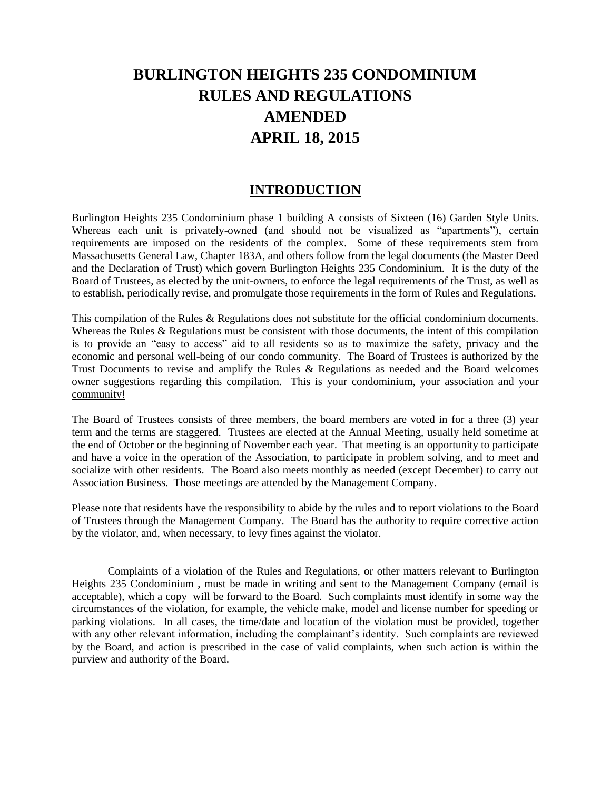# **BURLINGTON HEIGHTS 235 CONDOMINIUM RULES AND REGULATIONS AMENDED APRIL 18, 2015**

## **INTRODUCTION**

Burlington Heights 235 Condominium phase 1 building A consists of Sixteen (16) Garden Style Units. Whereas each unit is privately-owned (and should not be visualized as "apartments"), certain requirements are imposed on the residents of the complex. Some of these requirements stem from Massachusetts General Law, Chapter 183A, and others follow from the legal documents (the Master Deed and the Declaration of Trust) which govern Burlington Heights 235 Condominium. It is the duty of the Board of Trustees, as elected by the unit-owners, to enforce the legal requirements of the Trust, as well as to establish, periodically revise, and promulgate those requirements in the form of Rules and Regulations.

This compilation of the Rules & Regulations does not substitute for the official condominium documents. Whereas the Rules & Regulations must be consistent with those documents, the intent of this compilation is to provide an "easy to access" aid to all residents so as to maximize the safety, privacy and the economic and personal well-being of our condo community. The Board of Trustees is authorized by the Trust Documents to revise and amplify the Rules & Regulations as needed and the Board welcomes owner suggestions regarding this compilation. This is your condominium, your association and your community!

The Board of Trustees consists of three members, the board members are voted in for a three (3) year term and the terms are staggered. Trustees are elected at the Annual Meeting, usually held sometime at the end of October or the beginning of November each year. That meeting is an opportunity to participate and have a voice in the operation of the Association, to participate in problem solving, and to meet and socialize with other residents. The Board also meets monthly as needed (except December) to carry out Association Business. Those meetings are attended by the Management Company.

Please note that residents have the responsibility to abide by the rules and to report violations to the Board of Trustees through the Management Company. The Board has the authority to require corrective action by the violator, and, when necessary, to levy fines against the violator.

Complaints of a violation of the Rules and Regulations, or other matters relevant to Burlington Heights 235 Condominium , must be made in writing and sent to the Management Company (email is acceptable), which a copy will be forward to the Board. Such complaints must identify in some way the circumstances of the violation, for example, the vehicle make, model and license number for speeding or parking violations. In all cases, the time/date and location of the violation must be provided, together with any other relevant information, including the complainant's identity. Such complaints are reviewed by the Board, and action is prescribed in the case of valid complaints, when such action is within the purview and authority of the Board.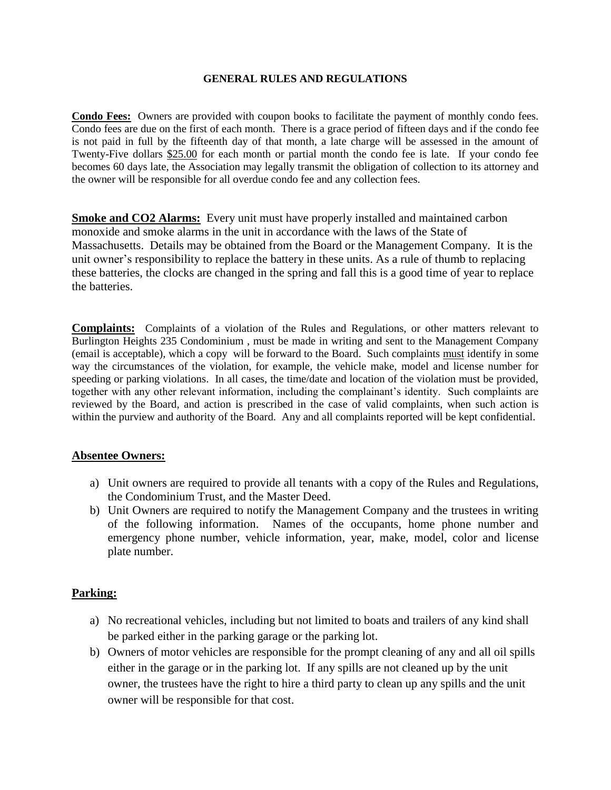#### **GENERAL RULES AND REGULATIONS**

**Condo Fees:** Owners are provided with coupon books to facilitate the payment of monthly condo fees. Condo fees are due on the first of each month. There is a grace period of fifteen days and if the condo fee is not paid in full by the fifteenth day of that month, a late charge will be assessed in the amount of Twenty-Five dollars \$25.00 for each month or partial month the condo fee is late. If your condo fee becomes 60 days late, the Association may legally transmit the obligation of collection to its attorney and the owner will be responsible for all overdue condo fee and any collection fees.

**Smoke and CO2 Alarms:** Every unit must have properly installed and maintained carbon monoxide and smoke alarms in the unit in accordance with the laws of the State of Massachusetts. Details may be obtained from the Board or the Management Company. It is the unit owner's responsibility to replace the battery in these units. As a rule of thumb to replacing these batteries, the clocks are changed in the spring and fall this is a good time of year to replace the batteries.

**Complaints:** Complaints of a violation of the Rules and Regulations, or other matters relevant to Burlington Heights 235 Condominium , must be made in writing and sent to the Management Company (email is acceptable), which a copy will be forward to the Board. Such complaints must identify in some way the circumstances of the violation, for example, the vehicle make, model and license number for speeding or parking violations. In all cases, the time/date and location of the violation must be provided, together with any other relevant information, including the complainant's identity. Such complaints are reviewed by the Board, and action is prescribed in the case of valid complaints, when such action is within the purview and authority of the Board. Any and all complaints reported will be kept confidential.

#### **Absentee Owners:**

- a) Unit owners are required to provide all tenants with a copy of the Rules and Regulations, the Condominium Trust, and the Master Deed.
- b) Unit Owners are required to notify the Management Company and the trustees in writing of the following information. Names of the occupants, home phone number and emergency phone number, vehicle information, year, make, model, color and license plate number.

### **Parking:**

- a) No recreational vehicles, including but not limited to boats and trailers of any kind shall be parked either in the parking garage or the parking lot.
- b) Owners of motor vehicles are responsible for the prompt cleaning of any and all oil spills either in the garage or in the parking lot. If any spills are not cleaned up by the unit owner, the trustees have the right to hire a third party to clean up any spills and the unit owner will be responsible for that cost.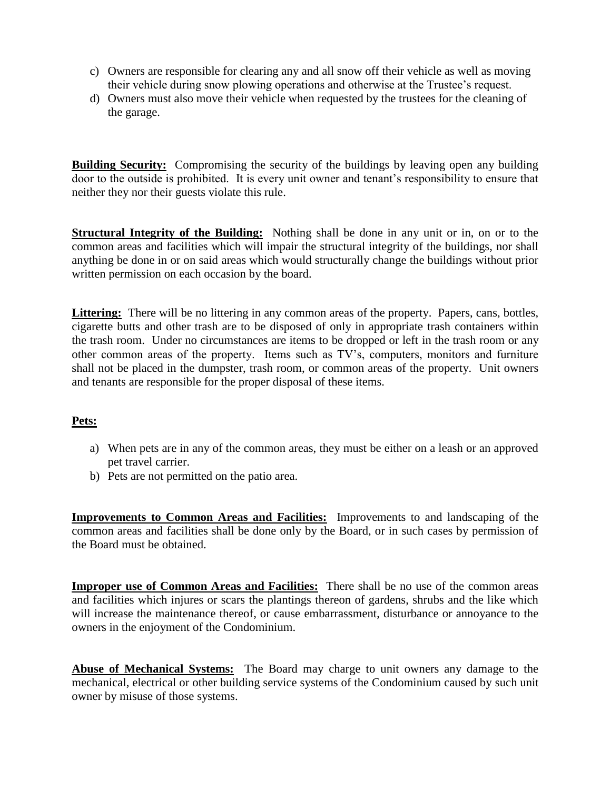- c) Owners are responsible for clearing any and all snow off their vehicle as well as moving their vehicle during snow plowing operations and otherwise at the Trustee's request.
- d) Owners must also move their vehicle when requested by the trustees for the cleaning of the garage.

**Building Security:** Compromising the security of the buildings by leaving open any building door to the outside is prohibited. It is every unit owner and tenant's responsibility to ensure that neither they nor their guests violate this rule.

**Structural Integrity of the Building:** Nothing shall be done in any unit or in, on or to the common areas and facilities which will impair the structural integrity of the buildings, nor shall anything be done in or on said areas which would structurally change the buildings without prior written permission on each occasion by the board.

Littering: There will be no littering in any common areas of the property. Papers, cans, bottles, cigarette butts and other trash are to be disposed of only in appropriate trash containers within the trash room. Under no circumstances are items to be dropped or left in the trash room or any other common areas of the property. Items such as TV's, computers, monitors and furniture shall not be placed in the dumpster, trash room, or common areas of the property. Unit owners and tenants are responsible for the proper disposal of these items.

## **Pets:**

- a) When pets are in any of the common areas, they must be either on a leash or an approved pet travel carrier.
- b) Pets are not permitted on the patio area.

**Improvements to Common Areas and Facilities:** Improvements to and landscaping of the common areas and facilities shall be done only by the Board, or in such cases by permission of the Board must be obtained.

**Improper use of Common Areas and Facilities:** There shall be no use of the common areas and facilities which injures or scars the plantings thereon of gardens, shrubs and the like which will increase the maintenance thereof, or cause embarrassment, disturbance or annoyance to the owners in the enjoyment of the Condominium.

**Abuse of Mechanical Systems:** The Board may charge to unit owners any damage to the mechanical, electrical or other building service systems of the Condominium caused by such unit owner by misuse of those systems.